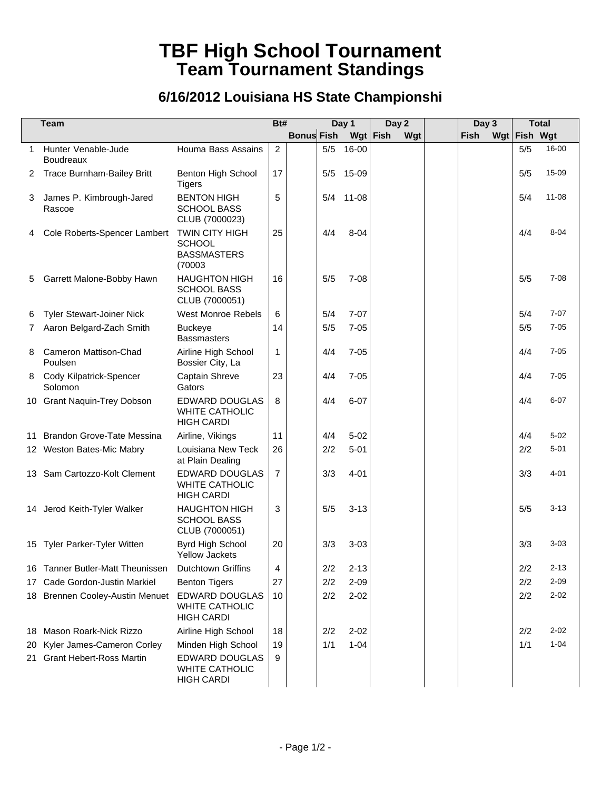## **TBF High School Tournament Team Tournament Standings**

## **6/16/2012 Louisiana HS State Championshi**

|              | <b>Team</b>                             |                                                                        | Bt#            |                   |     | Day 1     |      | Day 2 | Day 3 |              | <b>Total</b> |
|--------------|-----------------------------------------|------------------------------------------------------------------------|----------------|-------------------|-----|-----------|------|-------|-------|--------------|--------------|
|              |                                         |                                                                        |                | <b>Bonus Fish</b> |     | Wgt       | Fish | Wgt   | Fish  | Wgt Fish Wgt |              |
| $\mathbf{1}$ | Hunter Venable-Jude<br><b>Boudreaux</b> | Houma Bass Assains                                                     | $\overline{2}$ |                   | 5/5 | 16-00     |      |       |       | 5/5          | 16-00        |
| 2            | <b>Trace Burnham-Bailey Britt</b>       | Benton High School<br><b>Tigers</b>                                    | 17             |                   | 5/5 | 15-09     |      |       |       | 5/5          | 15-09        |
| 3            | James P. Kimbrough-Jared<br>Rascoe      | <b>BENTON HIGH</b><br><b>SCHOOL BASS</b><br>CLUB (7000023)             | 5              |                   | 5/4 | $11 - 08$ |      |       |       | 5/4          | $11 - 08$    |
|              | 4 Cole Roberts-Spencer Lambert          | <b>TWIN CITY HIGH</b><br><b>SCHOOL</b><br><b>BASSMASTERS</b><br>(70003 | 25             |                   | 4/4 | $8 - 04$  |      |       |       | 4/4          | $8 - 04$     |
| 5            | Garrett Malone-Bobby Hawn               | <b>HAUGHTON HIGH</b><br><b>SCHOOL BASS</b><br>CLUB (7000051)           | 16             |                   | 5/5 | $7 - 08$  |      |       |       | 5/5          | $7 - 08$     |
| 6            | <b>Tyler Stewart-Joiner Nick</b>        | <b>West Monroe Rebels</b>                                              | 6              |                   | 5/4 | $7 - 07$  |      |       |       | 5/4          | $7 - 07$     |
| 7            | Aaron Belgard-Zach Smith                | <b>Buckeye</b><br><b>Bassmasters</b>                                   | 14             |                   | 5/5 | $7 - 05$  |      |       |       | 5/5          | $7 - 05$     |
| 8            | Cameron Mattison-Chad<br>Poulsen        | Airline High School<br>Bossier City, La                                | $\mathbf{1}$   |                   | 4/4 | $7 - 05$  |      |       |       | 4/4          | $7 - 05$     |
|              | 8 Cody Kilpatrick-Spencer<br>Solomon    | Captain Shreve<br>Gators                                               | 23             |                   | 4/4 | $7 - 05$  |      |       |       | 4/4          | $7 - 05$     |
|              | 10 Grant Naquin-Trey Dobson             | <b>EDWARD DOUGLAS</b><br>WHITE CATHOLIC<br><b>HIGH CARDI</b>           | 8              |                   | 4/4 | $6 - 07$  |      |       |       | 4/4          | $6 - 07$     |
|              | 11 Brandon Grove-Tate Messina           | Airline, Vikings                                                       | 11             |                   | 4/4 | $5 - 02$  |      |       |       | 4/4          | $5 - 02$     |
|              | 12 Weston Bates-Mic Mabry               | Louisiana New Teck<br>at Plain Dealing                                 | 26             |                   | 2/2 | $5 - 01$  |      |       |       | 2/2          | $5 - 01$     |
|              | 13 Sam Cartozzo-Kolt Clement            | <b>EDWARD DOUGLAS</b><br><b>WHITE CATHOLIC</b><br><b>HIGH CARDI</b>    | $\overline{7}$ |                   | 3/3 | $4 - 01$  |      |       |       | 3/3          | $4 - 01$     |
|              | 14 Jerod Keith-Tyler Walker             | <b>HAUGHTON HIGH</b><br><b>SCHOOL BASS</b><br>CLUB (7000051)           | 3              |                   | 5/5 | $3 - 13$  |      |       |       | 5/5          | $3 - 13$     |
|              | 15 Tyler Parker-Tyler Witten            | Byrd High School<br><b>Yellow Jackets</b>                              | 20             |                   | 3/3 | $3 - 03$  |      |       |       | 3/3          | $3 - 03$     |
|              | 16 Tanner Butler-Matt Theunissen        | <b>Dutchtown Griffins</b>                                              | 4              |                   | 2/2 | $2 - 13$  |      |       |       | 2/2          | $2 - 13$     |
|              | 17 Cade Gordon-Justin Markiel           | <b>Benton Tigers</b>                                                   | 27             |                   | 2/2 | $2 - 09$  |      |       |       | 2/2          | $2 - 09$     |
|              | 18 Brennen Cooley-Austin Menuet         | <b>EDWARD DOUGLAS</b><br><b>WHITE CATHOLIC</b><br><b>HIGH CARDI</b>    | 10             |                   | 2/2 | $2 - 02$  |      |       |       | 2/2          | $2 - 02$     |
|              | 18 Mason Roark-Nick Rizzo               | Airline High School                                                    | 18             |                   | 2/2 | $2 - 02$  |      |       |       | 2/2          | $2 - 02$     |
|              | 20 Kyler James-Cameron Corley           | Minden High School                                                     | 19             |                   | 1/1 | $1 - 04$  |      |       |       | 1/1          | $1 - 04$     |
|              | 21 Grant Hebert-Ross Martin             | EDWARD DOUGLAS<br>WHITE CATHOLIC<br><b>HIGH CARDI</b>                  | 9              |                   |     |           |      |       |       |              |              |